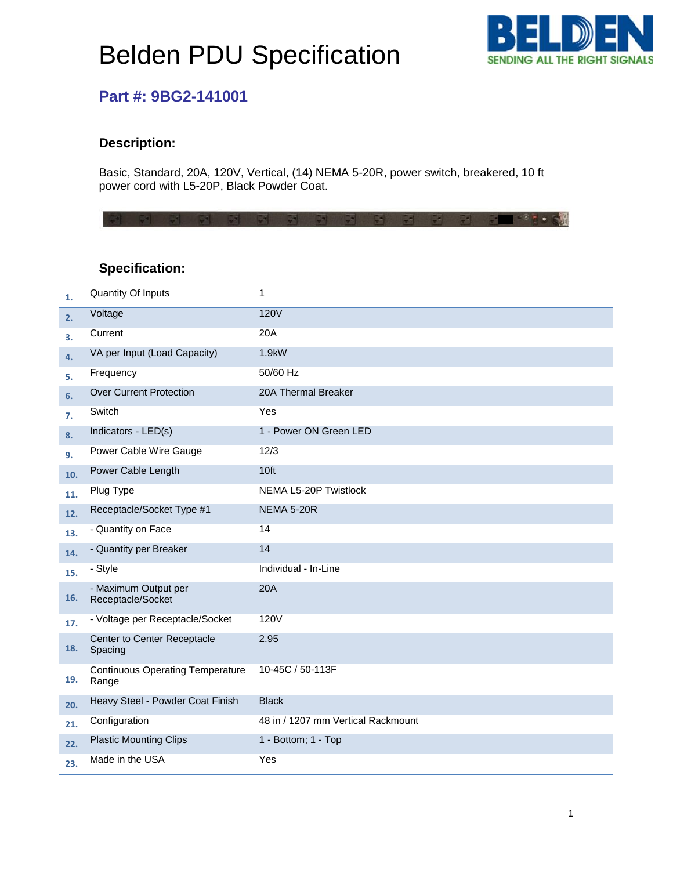# Belden PDU Specification



## **Part #: 9BG2-141001**

#### **Description:**

Basic, Standard, 20A, 120V, Vertical, (14) NEMA 5-20R, power switch, breakered, 10 ft power cord with L5-20P, Black Powder Coat.

**THE STORY DAI** 

### **Specification:**

| 1.  | <b>Quantity Of Inputs</b>                        | 1                                  |
|-----|--------------------------------------------------|------------------------------------|
| 2.  | Voltage                                          | <b>120V</b>                        |
| 3.  | Current                                          | 20A                                |
| 4.  | VA per Input (Load Capacity)                     | 1.9kW                              |
| 5.  | Frequency                                        | 50/60 Hz                           |
| 6.  | <b>Over Current Protection</b>                   | 20A Thermal Breaker                |
| 7.  | Switch                                           | Yes                                |
| 8.  | Indicators - LED(s)                              | 1 - Power ON Green LED             |
| 9.  | Power Cable Wire Gauge                           | 12/3                               |
| 10. | Power Cable Length                               | 10ft                               |
| 11. | Plug Type                                        | NEMA L5-20P Twistlock              |
| 12. | Receptacle/Socket Type #1                        | <b>NEMA 5-20R</b>                  |
| 13. | - Quantity on Face                               | 14                                 |
| 14. | - Quantity per Breaker                           | 14                                 |
| 15. | - Style                                          | Individual - In-Line               |
| 16. | - Maximum Output per<br>Receptacle/Socket        | 20A                                |
| 17. | - Voltage per Receptacle/Socket                  | 120V                               |
| 18. | Center to Center Receptacle<br>Spacing           | 2.95                               |
| 19. | <b>Continuous Operating Temperature</b><br>Range | 10-45C / 50-113F                   |
| 20. | Heavy Steel - Powder Coat Finish                 | <b>Black</b>                       |
| 21. | Configuration                                    | 48 in / 1207 mm Vertical Rackmount |
| 22. | <b>Plastic Mounting Clips</b>                    | 1 - Bottom; 1 - Top                |
| 23. | Made in the USA                                  | Yes                                |